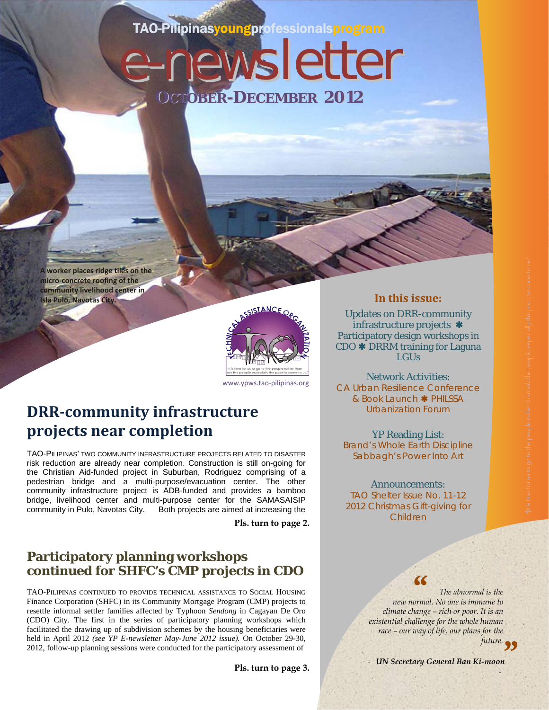# TAO-Pilipinasyoungprofessionalsprogram

e-newsletter

**OCTOBER-DECEMBER 2012**

**A worker places ridge tiles on the micro‐concrete roofing of the community livelihood center in Isla Pulo, Navotas City.**

# www.ypws.tao‐pilipinas.org

# **DRR‐community infrastructure projects near completion**

TAO-PILIPINAS' TWO COMMUNITY INFRASTRUCTURE PROJECTS RELATED TO DISASTER risk reduction are already near completion. Construction is still on-going for the Christian Aid-funded project in Suburban, Rodriguez comprising of a pedestrian bridge and a multi-purpose/evacuation center. The other community infrastructure project is ADB-funded and provides a bamboo bridge, livelihood center and multi-purpose center for the SAMASAISIP community in Pulo, Navotas City. Both projects are aimed at increasing the

**Pls. turn to page 2.** 

## **Participatory planning workshops continued for SHFC's CMP projects in CDO**

TAO-PILIPINAS CONTINUED TO PROVIDE TECHNICAL ASSISTANCE TO SOCIAL HOUSING Finance Corporation (SHFC) in its Community Mortgage Program (CMP) projects to resettle informal settler families affected by Typhoon *Sendong* in Cagayan De Oro (CDO) City. The first in the series of participatory planning workshops which facilitated the drawing up of subdivision schemes by the housing beneficiaries were held in April 2012 *(see YP E-newsletter May-June 2012 issue).* On October 29-30, 2012, follow-up planning sessions were conducted for the participatory assessment of

**Pls. turn to page 3.** 

#### **In this issue:**

Updates on DRR-community infrastructure projects \* Participatory design workshops in  $CDO$   $\ast$  DRRM training for Laguna LGUs

Network Activities: CA Urban Resilience Conference & Book Launch \* PHILSSA Urbanization Forum

YP Reading List: Brand's *Whole Earth Discipline*  Sabbagh's *Power Into Art* 

#### Announcements:

TAO Shelter Issue No. 11-12 2012 Christmas Gift-giving for Children



*The abnormal is the new normal. No one is immune to climate change – rich or poor. It is an existential challenge for the whole human race – our way of life, our plans for the* 

- UN Secretary General Ban Ki-moon October ‐ December <sup>2012</sup> / **1** future. **99**<br>-moon

‐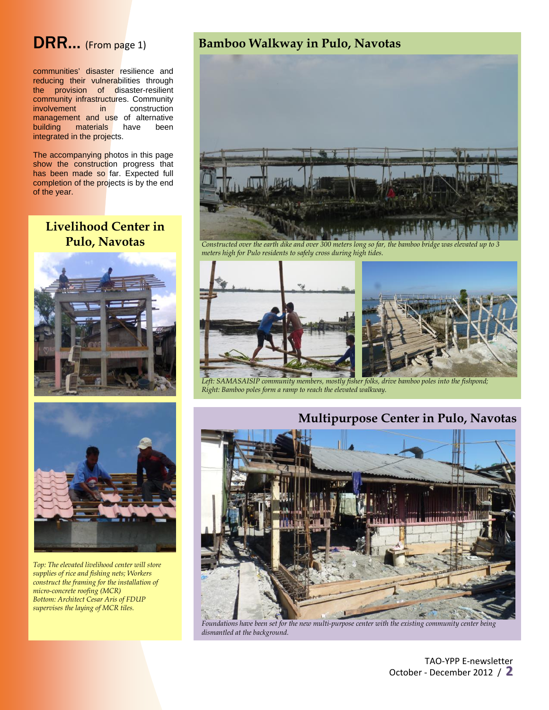# DRR... (From page 1)

communities' disaster resilience and reducing their vulnerabilities through the provision of disaster-resilient community infrastructures. Community involvement in construction management and use of alternative building materials have been integrated in the projects.

The accompanying photos in this page show the construction progress that has been made so far. Expected full completion of the projects is by the end of the year.

## **Livelihood Center in Pulo, Navotas**





*Top: The elevated livelihood center will store supplies of rice and fishing nets; Workers construct the framing for the installation of micro-concrete roofing (MCR) Bottom: Architect Cesar Aris of FDUP supervises the laying of MCR tiles.*

## **Bamboo Walkway in Pulo, Navotas**



*Constructed over the earth dike and over 300 meters long so far, the bamboo bridge was elevated up to 3 meters high for Pulo residents to safely cross during high tides.* 



*Left: SAMASAISIP community members, mostly fisher folks, drive bamboo poles into the fishpond; Right: Bamboo poles form a ramp to reach the elevated walkway.* 



*Foundations have been set for the new multi-purpose center with the existing community center being dismantled at the background.*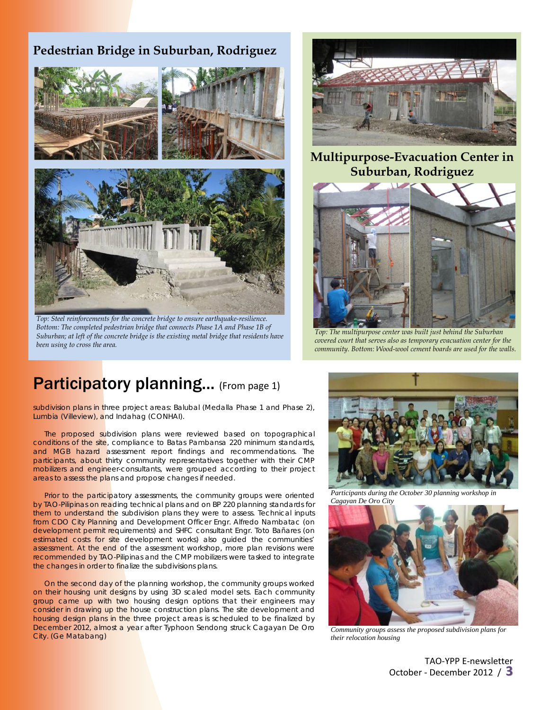## **Pedestrian Bridge in Suburban, Rodriguez**



*Top: Steel reinforcements for the concrete bridge to ensure earthquake-resilience. Bottom: The completed pedestrian bridge that connects Phase 1A and Phase 1B of Suburban; at left of the concrete bridge is the existing metal bridge that residents have been using to cross the area.* 



**Multipurpose-Evacuation Center in Suburban, Rodriguez** 



*Top: The multipurpose center was built just behind the Suburban covered court that serves also as temporary evacuation center for the community. Bottom: Wood-wool cement boards are used for the walls.* 

# Participatory planning... (From page 1)

subdivision plans in three project areas: Balubal (Medalla Phase 1 and Phase 2), Lumbia (Villeview), and Indahag (CONHAI).

The proposed subdivision plans were reviewed based on topographical conditions of the site, compliance to Batas Pambansa 220 minimum standards, and MGB hazard assessment report findings and recommendations. The participants, about thirty community representatives together with their CMP mobilizers and engineer-consultants, were grouped according to their project areas to assess the plans and propose changes if needed.

Prior to the participatory assessments, the community groups were oriented by TAO-Pilipinas on reading technical plans and on BP 220 planning standards for them to understand the subdivision plans they were to assess. Technical inputs from CDO City Planning and Development Officer Engr. Alfredo Nambatac (on development permit requirements) and SHFC consultant Engr. Toto Bañares (on estimated costs for site development works) also guided the communities' assessment. At the end of the assessment workshop, more plan revisions were recommended by TAO-Pilipinas and the CMP mobilizers were tasked to integrate the changes in order to finalize the subdivisions plans.

On the second day of the planning workshop, the community groups worked on their housing unit designs by using 3D scaled model sets. Each community group came up with two housing design options that their engineers may consider in drawing up the house construction plans. The site development and housing design plans in the three project areas is scheduled to be finalized by December 2012, almost a year after Typhoon *Sendong* struck Cagayan De Oro City. *(Ge Matabang)* 



*Participants during the October 30 planning workshop in Cagayan De Oro City* 



*Community groups assess the proposed subdivision plans for their relocation housing* 

TAO‐YPP E‐newsletter October ‐ December <sup>2012</sup> / **3**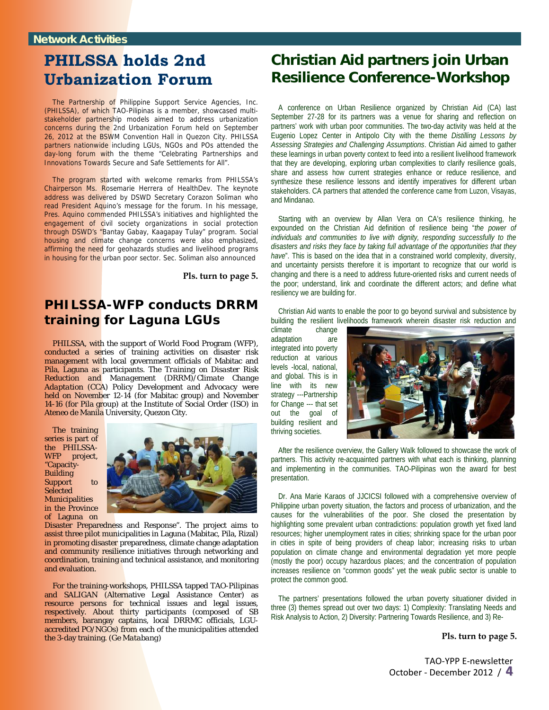# **PHILSSA holds 2nd Urbanization Forum**

The Partnership of Philippine Support Service Agencies, Inc. (PHILSSA), of which TAO-Pilipinas is a member, showcased multistakeholder partnership models aimed to address urbanization concerns during the 2nd Urbanization Forum held on September 26, 2012 at the BSWM Convention Hall in Quezon City. PHILSSA partners nationwide including LGUs, NGOs and POs attended the day-long forum with the theme "Celebrating Partnerships and Innovations Towards Secure and Safe Settlements for All".

The program started with welcome remarks from PHILSSA's Chairperson Ms. Rosemarie Herrera of HealthDev. The keynote address was delivered by DSWD Secretary Corazon Soliman who read President Aquino's message for the forum. In his message, Pres. Aquino commended PHILSSA's initiatives and highlighted the engagement of civil society organizations in social protection through DSWD's "Bantay Gabay, Kaagapay Tulay" program. Social housing and climate change concerns were also emphasized, affirming the need for geohazards studies and livelihood programs in housing for the urban poor sector. Sec. Soliman also announced

**Pls. turn to page 5.**

## **PHILSSA-WFP conducts DRRM training for Laguna LGUs**

PHILSSA, with the support of World Food Program (WFP), conducted a series of training activities on disaster risk management with local government officials of Mabitac and Pila, Laguna as participants. The *Training on Disaster Risk Reduction and Management (DRRM)/Climate Change Adaptation (CCA) Policy Development and Advocacy* were held on November 12-14 (for Mabitac group) and November 14-16 (for Pila group) at the Institute of Social Order (ISO) in Ateneo de Manila University, Quezon City.

The training series is part of the PHILSSA-WFP project, "Capacity-**Building** Support to **Selected** Municipalities in the Province of Laguna on



Disaster Preparedness and Response". The project aims to assist three pilot municipalities in Laguna (Mabitac, Pila, Rizal) in promoting disaster preparedness, climate change adaptation and community resilience initiatives through networking and coordination, training and technical assistance, and monitoring and evaluation.

For the training-workshops, PHILSSA tapped TAO-Pilipinas and SALIGAN (Alternative Legal Assistance Center) as resource persons for technical issues and legal issues, respectively. About thirty participants (composed of SB members, barangay captains, local DRRMC officials, LGUaccredited PO/NGOs) from each of the municipalities attended the 3-day training. *(Ge Matabang)*

# **Christian Aid partners join Urban Resilience Conference-Workshop**

A conference on Urban Resilience organized by Christian Aid (CA) last September 27-28 for its partners was a venue for sharing and reflection on partners' work with urban poor communities. The two-day activity was held at the Eugenio Lopez Center in Antipolo City with the theme *Distilling Lessons by Assessing Strategies and Challenging Assumptions*. Christian Aid aimed to gather these learnings in urban poverty context to feed into a resilient livelihood framework that they are developing, exploring urban complexities to clarify resilience goals, share and assess how current strategies enhance or reduce resilience, and synthesize these resilience lessons and identify imperatives for different urban stakeholders. CA partners that attended the conference came from Luzon, Visayas, and Mindanao.

Starting with an overview by Allan Vera on CA's resilience thinking, he expounded on the Christian Aid definition of resilience being "*the power of individuals and communities to live with dignity, responding successfully to the disasters and risks they face by taking full advantage of the opportunities that they have*". This is based on the idea that in a constrained world complexity, diversity, and uncertainty persists therefore it is important to recognize that our world is changing and there is a need to address future-oriented risks and current needs of the poor; understand, link and coordinate the different actors; and define what resiliency we are building for.

Christian Aid wants to enable the poor to go beyond survival and subsistence by building the resilient livelihoods framework wherein disaster risk reduction and

climate change adaptation are integrated into poverty reduction at various levels -local, national, and global. This is in line with its new strategy ---Partnership for Change --- that set out the goal of building resilient and thriving societies.



After the resilience overview, the Gallery Walk followed to showcase the work of partners. This activity re-acquainted partners with what each is thinking, planning and implementing in the communities. TAO-Pilipinas won the award for best presentation.

Dr. Ana Marie Karaos of JJCICSI followed with a comprehensive overview of Philippine urban poverty situation, the factors and process of urbanization, and the causes for the vulnerabilities of the poor. She closed the presentation by highlighting some prevalent urban contradictions: population growth yet fixed land resources; higher unemployment rates in cities; shrinking space for the urban poor in cities in spite of being providers of cheap labor; increasing risks to urban population on climate change and environmental degradation yet more people (mostly the poor) occupy hazardous places; and the concentration of population increases resilience on "common goods" yet the weak public sector is unable to protect the common good.

The partners' presentations followed the urban poverty situationer divided in three (3) themes spread out over two days: 1) Complexity: Translating Needs and Risk Analysis to Action, 2) Diversity: Partnering Towards Resilience, and 3) Re-

#### **Pls. turn to page 5.**

TAO‐YPP E‐newsletter October ‐ December <sup>2012</sup> / **4**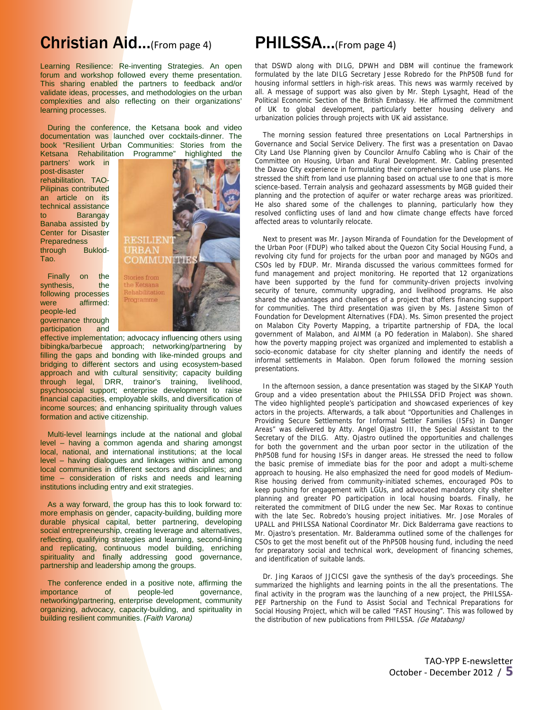# Christian Aid...(From page 4)

Learning Resilience: Re-inventing Strategies. An open forum and workshop followed every theme presentation. This sharing enabled the partners to feedback and/or validate ideas, processes, and methodologies on the urban complexities and also reflecting on their organizations' learning processes.

During the conference, the Ketsana book and video documentation was launched over cocktails-dinner. The book "Resilient Urban Communities: Stories from the Ketsana Rehabilitation Programme" highlighted the

partners' work in post-disaster rehabilitation. TAO-Pilipinas contributed an article on its technical assistance to Barangay Banaba assisted by Center for Disaster **Preparedness** through Buklod-Tao.

Finally on the synthesis, the following processes were affirmed: people-led governance through participation and



effective implementation; advocacy influencing others using bibingka/barbecue approach; networking/partnering by filling the gaps and bonding with like-minded groups and bridging to different sectors and using ecosystem-based approach and with cultural sensitivity; capacity building through legal, DRR, trainor's training, livelihood, psychosocial support; enterprise development to raise financial capacities, employable skills, and diversification of income sources; and enhancing spirituality through values formation and active citizenship.

Multi-level learnings include at the national and global level – having a common agenda and sharing amongst local, national, and international institutions; at the local level – having dialogues and linkages within and among local communities in different sectors and disciplines; and time – consideration of risks and needs and learning institutions including entry and exit strategies.

As a way forward, the group has this to look forward to: more emphasis on gender, capacity-building, building more durable physical capital, better partnering, developing social entrepreneurship, creating leverage and alternatives, reflecting, qualifying strategies and learning, second-lining and replicating, continuous model building, enriching spirituality and finally addressing good governance, partnership and leadership among the groups.

The conference ended in a positive note, affirming the importance of people-led governance, networking/partnering, enterprise development, community organizing, advocacy, capacity-building, and spirituality in building resilient communities. *(Faith Varona)*

## PHILSSA...(From page 4)

that DSWD along with DILG, DPWH and DBM will continue the framework formulated by the late DILG Secretary Jesse Robredo for the PhP50B fund for housing informal settlers in high-risk areas. This news was warmly received by all. A message of support was also given by Mr. Steph Lysaght, Head of the Political Economic Section of the British Embassy. He affirmed the commitment of UK to global development, particularly better housing delivery and urbanization policies through projects with UK aid assistance.

The morning session featured three presentations on Local Partnerships in Governance and Social Service Delivery. The first was a presentation on Davao City Land Use Planning given by Councilor Arnulfo Cabling who is Chair of the Committee on Housing, Urban and Rural Development. Mr. Cabling presented the Davao City experience in formulating their comprehensive land use plans. He stressed the shift from land use planning based on actual use to one that is more science-based. Terrain analysis and geohazard assessments by MGB guided their planning and the protection of aquifer or water recharge areas was prioritized. He also shared some of the challenges to planning, particularly how they resolved conflicting uses of land and how climate change effects have forced affected areas to voluntarily relocate.

Next to present was Mr. Jayson Miranda of Foundation for the Development of the Urban Poor (FDUP) who talked about the Quezon City Social Housing Fund, a revolving city fund for projects for the urban poor and managed by NGOs and CSOs led by FDUP. Mr. Miranda discussed the various committees formed for fund management and project monitoring. He reported that 12 organizations have been supported by the fund for community-driven projects involving security of tenure, community upgrading, and livelihood programs. He also shared the advantages and challenges of a project that offers financing support for communities. The third presentation was given by Ms. Jastene Simon of Foundation for Development Alternatives (FDA). Ms. Simon presented the project on Malabon City Poverty Mapping, a tripartite partnership of FDA, the local government of Malabon, and AIMM (a PO federation in Malabon). She shared how the poverty mapping project was organized and implemented to establish a socio-economic database for city shelter planning and identify the needs of informal settlements in Malabon. Open forum followed the morning session presentations.

In the afternoon session, a dance presentation was staged by the SIKAP Youth Group and a video presentation about the PHILSSA DFID Project was shown. The video highlighted people's participation and showcased experiences of key actors in the projects. Afterwards, a talk about "Opportunities and Challenges in Providing Secure Settlements for Informal Settler Families (ISFs) in Danger Areas" was delivered by Atty. Angel Ojastro III, the Special Assistant to the Secretary of the DILG. Atty. Ojastro outlined the opportunities and challenges for both the government and the urban poor sector in the utilization of the PhP50B fund for housing ISFs in danger areas. He stressed the need to follow the basic premise of immediate bias for the poor and adopt a multi-scheme approach to housing. He also emphasized the need for good models of Medium-Rise housing derived from community-initiated schemes, encouraged POs to keep pushing for engagement with LGUs, and advocated mandatory city shelter planning and greater PO participation in local housing boards. Finally, he reiterated the commitment of DILG under the new Sec. Mar Roxas to continue with the late Sec. Robredo's housing project initiatives. Mr. Jose Morales of UPALL and PHILSSA National Coordinator Mr. Dick Balderrama gave reactions to Mr. Ojastro's presentation. Mr. Balderamma outlined some of the challenges for CSOs to get the most benefit out of the PhP50B housing fund, including the need for preparatory social and technical work, development of financing schemes, and identification of suitable lands.

Dr. Jing Karaos of JJCICSI gave the synthesis of the day's proceedings. She summarized the highlights and learning points in the all the presentations. The final activity in the program was the launching of a new project, the PHILSSA-PEF Partnership on the Fund to Assist Social and Technical Preparations for Social Housing Project, which will be called "FAST Housing". This was followed by the distribution of new publications from PHILSSA. (Ge Matabang)